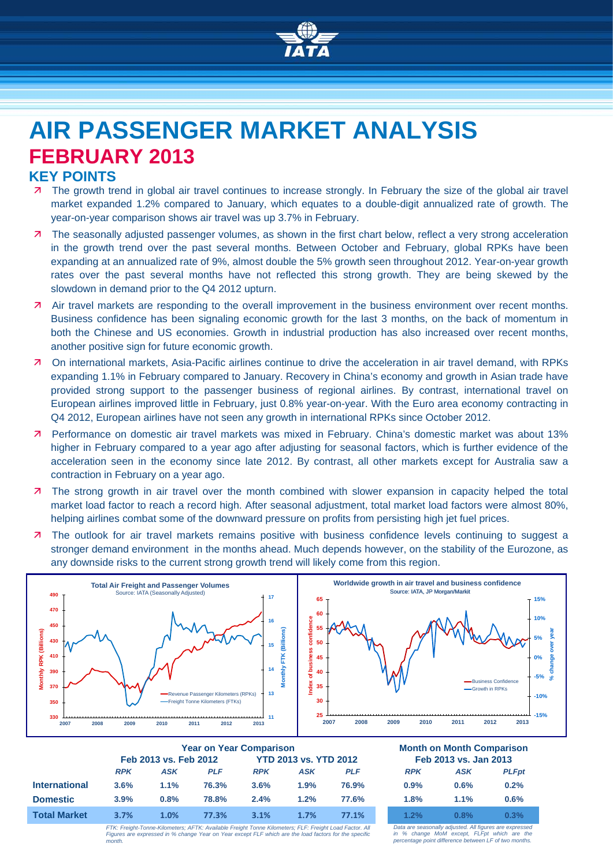

# **AIR PASSENGER MARKET ANALYSIS FEBRUARY 2013**

## **KEY POINTS**

- The growth trend in global air travel continues to increase strongly. In February the size of the global air travel market expanded 1.2% compared to January, which equates to a double-digit annualized rate of growth. The year-on-year comparison shows air travel was up 3.7% in February.
- 7 The seasonally adjusted passenger volumes, as shown in the first chart below, reflect a very strong acceleration in the growth trend over the past several months. Between October and February, global RPKs have been expanding at an annualized rate of 9%, almost double the 5% growth seen throughout 2012. Year-on-year growth rates over the past several months have not reflected this strong growth. They are being skewed by the slowdown in demand prior to the Q4 2012 upturn.
- Air travel markets are responding to the overall improvement in the business environment over recent months. Business confidence has been signaling economic growth for the last 3 months, on the back of momentum in both the Chinese and US economies. Growth in industrial production has also increased over recent months, another positive sign for future economic growth.
- On international markets, Asia-Pacific airlines continue to drive the acceleration in air travel demand, with RPKs expanding 1.1% in February compared to January. Recovery in China's economy and growth in Asian trade have provided strong support to the passenger business of regional airlines. By contrast, international travel on European airlines improved little in February, just 0.8% year-on-year. With the Euro area economy contracting in Q4 2012, European airlines have not seen any growth in international RPKs since October 2012.
- Performance on domestic air travel markets was mixed in February. China's domestic market was about 13% higher in February compared to a year ago after adjusting for seasonal factors, which is further evidence of the acceleration seen in the economy since late 2012. By contrast, all other markets except for Australia saw a contraction in February on a year ago.
- 7 The strong growth in air travel over the month combined with slower expansion in capacity helped the total market load factor to reach a record high. After seasonal adjustment, total market load factors were almost 80%, helping airlines combat some of the downward pressure on profits from persisting high jet fuel prices.
- The outlook for air travel markets remains positive with business confidence levels continuing to suggest a stronger demand environment in the months ahead. Much depends however, on the stability of the Eurozone, as any downside risks to the current strong growth trend will likely come from this region.



|                      | <b>Year on Year Comparison</b> |      |            |                              |      | <b>Month on Month Comparison</b> |                       |      |              |
|----------------------|--------------------------------|------|------------|------------------------------|------|----------------------------------|-----------------------|------|--------------|
|                      | Feb 2013 vs. Feb 2012          |      |            | <b>YTD 2013 vs. YTD 2012</b> |      |                                  | Feb 2013 vs. Jan 2013 |      |              |
|                      | <b>RPK</b>                     | ASK  | <b>PLF</b> | <b>RPK</b>                   | ASK  | PLF                              | <b>RPK</b>            | ASK  | <b>PLFpt</b> |
| <b>International</b> | 3.6%                           | 1.1% | 76.3%      | 3.6%                         | 1.9% | 76.9%                            | 0.9%                  | 0.6% | 0.2%         |
| <b>Domestic</b>      | 3.9%                           | 0.8% | 78.8%      | 2.4%                         | 1.2% | 77.6%                            | 1.8%                  | 1.1% | 0.6%         |
| <b>Total Market</b>  | 3.7%                           | 1.0% | 77.3%      | 3.1%                         | 1.7% | 77.1%                            | 1.2%                  | 0.8% | $0.3\%$      |
|                      |                                |      |            |                              |      |                                  |                       |      |              |

| <b>Month on Month Comparison</b><br>Feb 2013 vs. Jan 2013 |      |              |  |  |  |  |
|-----------------------------------------------------------|------|--------------|--|--|--|--|
| <b>RPK</b>                                                | ASK  | <b>PLFpt</b> |  |  |  |  |
| 0.9%                                                      | 0.6% | 0.2%         |  |  |  |  |
| 1.8%                                                      | 1.1% | 0.6%         |  |  |  |  |
| 1.2%                                                      | 0.8% | 0.3%         |  |  |  |  |

*FTK: Freight-Tonne-Kilometers; AFTK: Available Freight Tonne Kilometers; FLF: Freight Load Factor. All Figures are expressed in % change Year on Year except FLF which are the load factors for the specific month.*

*Data are seasonally adjusted. All figures are expressed in % change MoM except, FLFpt which are the percentage point difference between LF of two months.*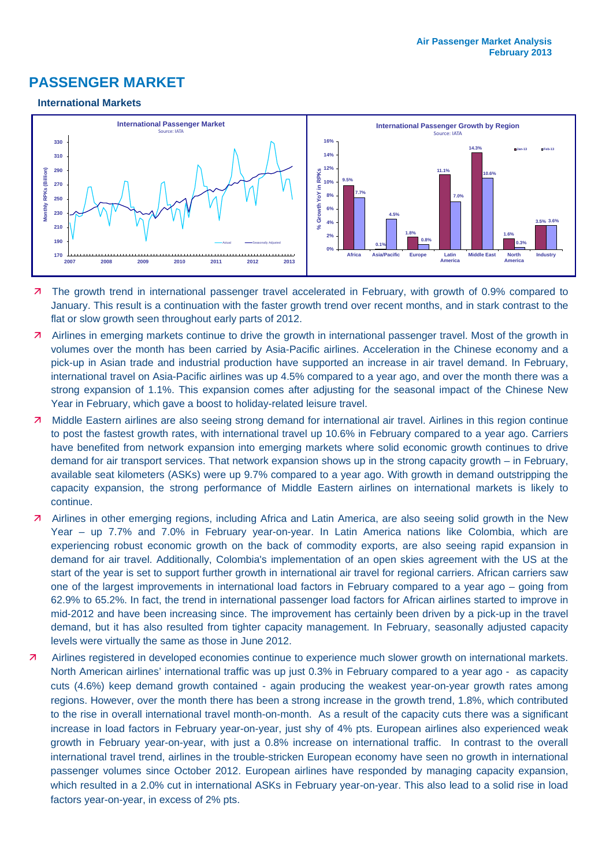# **PASSENGER MARKET**

#### **International Markets**



- The growth trend in international passenger travel accelerated in February, with growth of 0.9% compared to January. This result is a continuation with the faster growth trend over recent months, and in stark contrast to the flat or slow growth seen throughout early parts of 2012.
- Airlines in emerging markets continue to drive the growth in international passenger travel. Most of the growth in volumes over the month has been carried by Asia-Pacific airlines. Acceleration in the Chinese economy and a pick-up in Asian trade and industrial production have supported an increase in air travel demand. In February, international travel on Asia-Pacific airlines was up 4.5% compared to a year ago, and over the month there was a strong expansion of 1.1%. This expansion comes after adjusting for the seasonal impact of the Chinese New Year in February, which gave a boost to holiday-related leisure travel.
- 7 Middle Eastern airlines are also seeing strong demand for international air travel. Airlines in this region continue to post the fastest growth rates, with international travel up 10.6% in February compared to a year ago. Carriers have benefited from network expansion into emerging markets where solid economic growth continues to drive demand for air transport services. That network expansion shows up in the strong capacity growth – in February, available seat kilometers (ASKs) were up 9.7% compared to a year ago. With growth in demand outstripping the capacity expansion, the strong performance of Middle Eastern airlines on international markets is likely to continue.
- Airlines in other emerging regions, including Africa and Latin America, are also seeing solid growth in the New Year – up 7.7% and 7.0% in February year-on-year. In Latin America nations like Colombia, which are experiencing robust economic growth on the back of commodity exports, are also seeing rapid expansion in demand for air travel. Additionally, Colombia's implementation of an open skies agreement with the US at the start of the year is set to support further growth in international air travel for regional carriers. African carriers saw one of the largest improvements in international load factors in February compared to a year ago – going from 62.9% to 65.2%. In fact, the trend in international passenger load factors for African airlines started to improve in mid-2012 and have been increasing since. The improvement has certainly been driven by a pick-up in the travel demand, but it has also resulted from tighter capacity management. In February, seasonally adjusted capacity levels were virtually the same as those in June 2012.
- Airlines registered in developed economies continue to experience much slower growth on international markets. North American airlines' international traffic was up just 0.3% in February compared to a year ago - as capacity cuts (4.6%) keep demand growth contained - again producing the weakest year-on-year growth rates among regions. However, over the month there has been a strong increase in the growth trend, 1.8%, which contributed to the rise in overall international travel month-on-month. As a result of the capacity cuts there was a significant increase in load factors in February year-on-year, just shy of 4% pts. European airlines also experienced weak growth in February year-on-year, with just a 0.8% increase on international traffic. In contrast to the overall international travel trend, airlines in the trouble-stricken European economy have seen no growth in international passenger volumes since October 2012. European airlines have responded by managing capacity expansion, which resulted in a 2.0% cut in international ASKs in February year-on-year. This also lead to a solid rise in load factors year-on-year, in excess of 2% pts.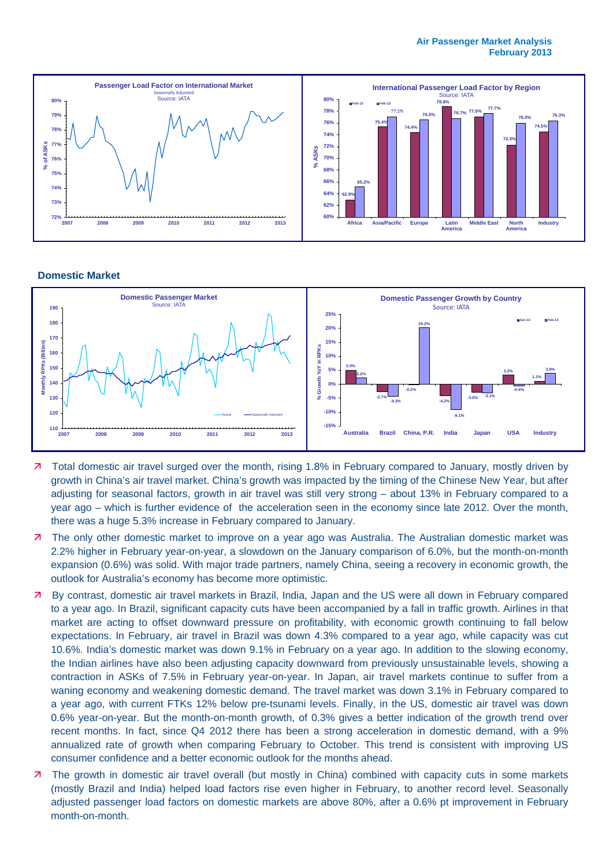

#### **Domestic Market**



- 7 Total domestic air travel surged over the month, rising 1.8% in February compared to January, mostly driven by growth in China's air travel market. China's growth was impacted by the timing of the Chinese New Year, but after adjusting for seasonal factors, growth in air travel was still very strong – about 13% in February compared to a year ago – which is further evidence of the acceleration seen in the economy since late 2012. Over the month, there was a huge 5.3% increase in February compared to January.
- **7** The only other domestic market to improve on a year ago was Australia. The Australian domestic market was 2.2% higher in February year-on-year, a slowdown on the January comparison of 6.0%, but the month-on-month expansion (0.6%) was solid. With major trade partners, namely China, seeing a recovery in economic growth, the outlook for Australia's economy has become more optimistic.
- By contrast, domestic air travel markets in Brazil, India, Japan and the US were all down in February compared to a year ago. In Brazil, significant capacity cuts have been accompanied by a fall in traffic growth. Airlines in that market are acting to offset downward pressure on profitability, with economic growth continuing to fall below expectations. In February, air travel in Brazil was down 4.3% compared to a year ago, while capacity was cut 10.6%. India's domestic market was down 9.1% in February on a year ago. In addition to the slowing economy, the Indian airlines have also been adjusting capacity downward from previously unsustainable levels, showing a contraction in ASKs of 7.5% in February year-on-year. In Japan, air travel markets continue to suffer from a waning economy and weakening domestic demand. The travel market was down 3.1% in February compared to a year ago, with current FTKs 12% below pre-tsunami levels. Finally, in the US, domestic air travel was down 0.6% year-on-year. But the month-on-month growth, of 0.3% gives a better indication of the growth trend over recent months. In fact, since Q4 2012 there has been a strong acceleration in domestic demand, with a 9% annualized rate of growth when comparing February to October. This trend is consistent with improving US consumer confidence and a better economic outlook for the months ahead.
- **7** The growth in domestic air travel overall (but mostly in China) combined with capacity cuts in some markets (mostly Brazil and India) helped load factors rise even higher in February, to another record level. Seasonally adjusted passenger load factors on domestic markets are above 80%, after a 0.6% pt improvement in February month-on-month.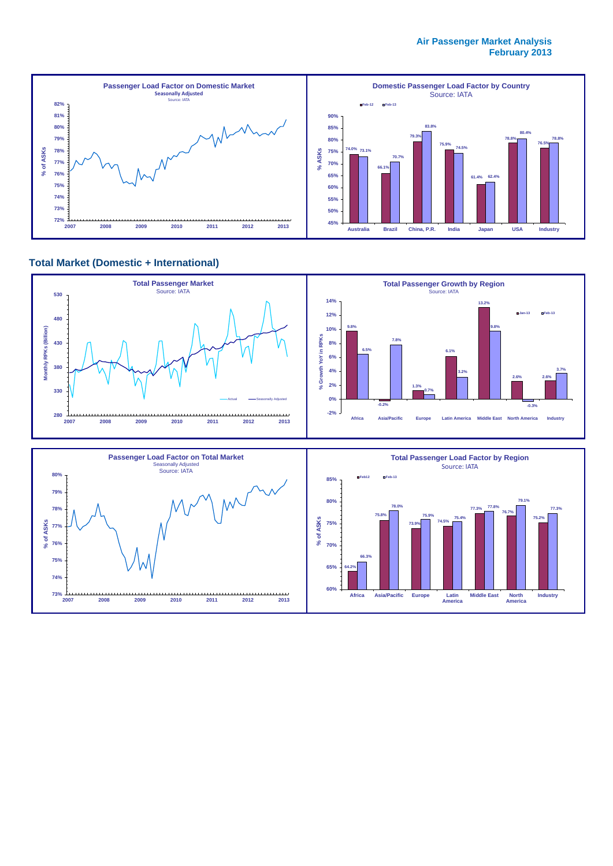#### **Air Passenger Market Analysis February 2013**



#### **Total Market (Domestic + International)**



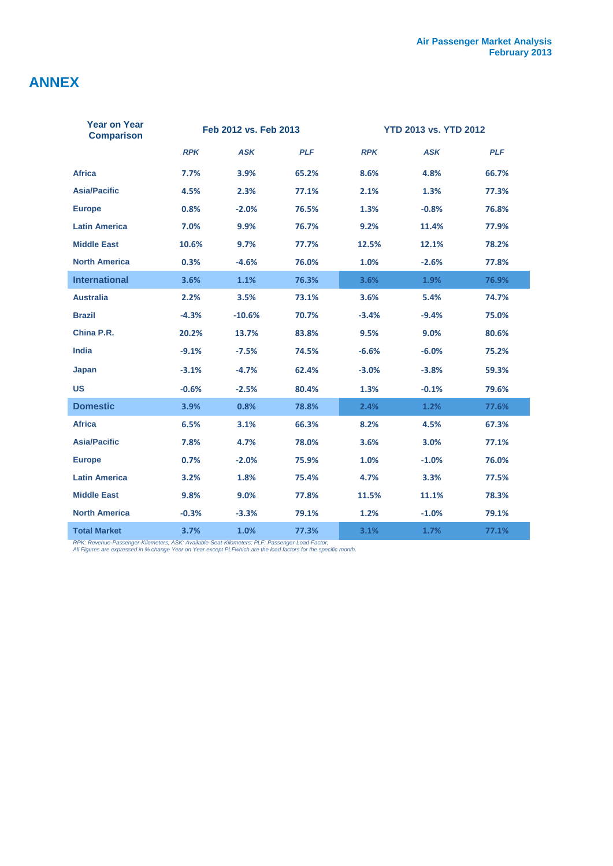# **ANNEX**

| <b>Year on Year</b><br><b>Comparison</b> | Feb 2012 vs. Feb 2013 |            | <b>YTD 2013 vs. YTD 2012</b> |            |            |            |
|------------------------------------------|-----------------------|------------|------------------------------|------------|------------|------------|
|                                          | <b>RPK</b>            | <b>ASK</b> | <b>PLF</b>                   | <b>RPK</b> | <b>ASK</b> | <b>PLF</b> |
| <b>Africa</b>                            | 7.7%                  | 3.9%       | 65.2%                        | 8.6%       | 4.8%       | 66.7%      |
| <b>Asia/Pacific</b>                      | 4.5%                  | 2.3%       | 77.1%                        | 2.1%       | 1.3%       | 77.3%      |
| <b>Europe</b>                            | 0.8%                  | $-2.0%$    | 76.5%                        | 1.3%       | $-0.8%$    | 76.8%      |
| <b>Latin America</b>                     | 7.0%                  | 9.9%       | 76.7%                        | 9.2%       | 11.4%      | 77.9%      |
| <b>Middle East</b>                       | 10.6%                 | 9.7%       | 77.7%                        | 12.5%      | 12.1%      | 78.2%      |
| <b>North America</b>                     | 0.3%                  | $-4.6%$    | 76.0%                        | 1.0%       | $-2.6%$    | 77.8%      |
| <b>International</b>                     | 3.6%                  | 1.1%       | 76.3%                        | 3.6%       | 1.9%       | 76.9%      |
| <b>Australia</b>                         | 2.2%                  | 3.5%       | 73.1%                        | 3.6%       | 5.4%       | 74.7%      |
| <b>Brazil</b>                            | $-4.3%$               | $-10.6%$   | 70.7%                        | $-3.4%$    | $-9.4%$    | 75.0%      |
| China P.R.                               | 20.2%                 | 13.7%      | 83.8%                        | 9.5%       | 9.0%       | 80.6%      |
| <b>India</b>                             | $-9.1%$               | $-7.5%$    | 74.5%                        | $-6.6%$    | $-6.0%$    | 75.2%      |
| Japan                                    | $-3.1%$               | $-4.7%$    | 62.4%                        | $-3.0%$    | $-3.8%$    | 59.3%      |
| <b>US</b>                                | $-0.6%$               | $-2.5%$    | 80.4%                        | 1.3%       | $-0.1%$    | 79.6%      |
| <b>Domestic</b>                          | 3.9%                  | 0.8%       | 78.8%                        | 2.4%       | 1.2%       | 77.6%      |
| <b>Africa</b>                            | 6.5%                  | 3.1%       | 66.3%                        | 8.2%       | 4.5%       | 67.3%      |
| <b>Asia/Pacific</b>                      | 7.8%                  | 4.7%       | 78.0%                        | 3.6%       | 3.0%       | 77.1%      |
| <b>Europe</b>                            | 0.7%                  | $-2.0%$    | 75.9%                        | 1.0%       | $-1.0%$    | 76.0%      |
| <b>Latin America</b>                     | 3.2%                  | 1.8%       | 75.4%                        | 4.7%       | 3.3%       | 77.5%      |
| <b>Middle East</b>                       | 9.8%                  | 9.0%       | 77.8%                        | 11.5%      | 11.1%      | 78.3%      |
| <b>North America</b>                     | $-0.3%$               | $-3.3%$    | 79.1%                        | 1.2%       | $-1.0%$    | 79.1%      |
| <b>Total Market</b>                      | 3.7%                  | 1.0%       | 77.3%                        | 3.1%       | 1.7%       | 77.1%      |

*RPK: Revenue-Passenger-Kilometers; ASK: Available-Seat-Kilometers; PLF: Passenger-Load-Factor; All Figures are expressed in % change Year on Year except PLFwhich are the load factors for the specific month.*